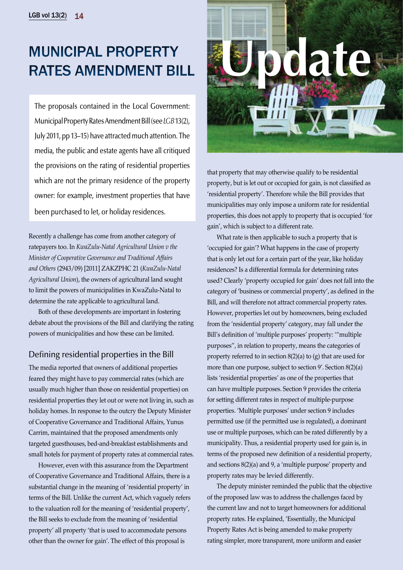# Municipal Property Rates Amendment Bill

The proposals contained in the Local Government: Municipal Property Rates Amendment Bill (see *LGB* 13(2), July 2011, pp 13–15) have attracted much attention. The media, the public and estate agents have all critiqued the provisions on the rating of residential properties which are not the primary residence of the property owner: for example, investment properties that have been purchased to let, or holiday residences.

Recently a challenge has come from another category of ratepayers too. In *KwaZulu-Natal Agricultural Union v the Minister of Cooperative Governance and Traditional Affairs and Others* (2943/09) [2011] ZAKZPHC 21 (*KwaZulu-Natal Agricultural Union*), the owners of agricultural land sought to limit the powers of municipalities in KwaZulu-Natal to determine the rate applicable to agricultural land.

Both of these developments are important in fostering debate about the provisions of the Bill and clarifying the rating powers of municipalities and how these can be limited.

# Defining residential properties in the Bill

The media reported that owners of additional properties feared they might have to pay commercial rates (which are usually much higher than those on residential properties) on residential properties they let out or were not living in, such as holiday homes. In response to the outcry the Deputy Minister of Cooperative Governance and Traditional Affairs, Yunus Carrim, maintained that the proposed amendments only targeted guesthouses, bed-and-breakfast establishments and small hotels for payment of property rates at commercial rates.

However, even with this assurance from the Department of Cooperative Governance and Traditional Affairs, there is a substantial change in the meaning of 'residential property' in terms of the Bill. Unlike the current Act, which vaguely refers to the valuation roll for the meaning of 'residential property', the Bill seeks to exclude from the meaning of 'residential property' all property 'that is used to accommodate persons other than the owner for gain'. The effect of this proposal is



that property that may otherwise qualify to be residential property, but is let out or occupied for gain, is not classified as 'residential property'. Therefore while the Bill provides that municipalities may only impose a uniform rate for residential properties, this does not apply to property that is occupied 'for gain', which is subject to a different rate.

What rate is then applicable to such a property that is 'occupied for gain'? What happens in the case of property that is only let out for a certain part of the year, like holiday residences? Is a differential formula for determining rates used? Clearly 'property occupied for gain' does not fall into the category of 'business or commercial property', as defined in the Bill, and will therefore not attract commercial property rates. However, properties let out by homeowners, being excluded from the 'residential property' category, may fall under the Bill's definition of 'multiple purposes' property: '"multiple purposes", in relation to property, means the categories of property referred to in section 8(2)(a) to (g) that are used for more than one purpose, subject to section 9'. Section 8(2)(a) lists 'residential properties' as one of the properties that can have multiple purposes. Section 9 provides the criteria for setting different rates in respect of multiple-purpose properties. 'Multiple purposes' under section 9 includes permitted use (if the permitted use is regulated), a dominant use or multiple purposes, which can be rated differently by a municipality. Thus, a residential property used for gain is, in terms of the proposed new definition of a residential property, and sections 8(2)(a) and 9, a 'multiple purpose' property and property rates may be levied differently.

The deputy minister reminded the public that the objective of the proposed law was to address the challenges faced by the current law and not to target homeowners for additional property rates. He explained, 'Essentially, the Municipal Property Rates Act is being amended to make property rating simpler, more transparent, more uniform and easier